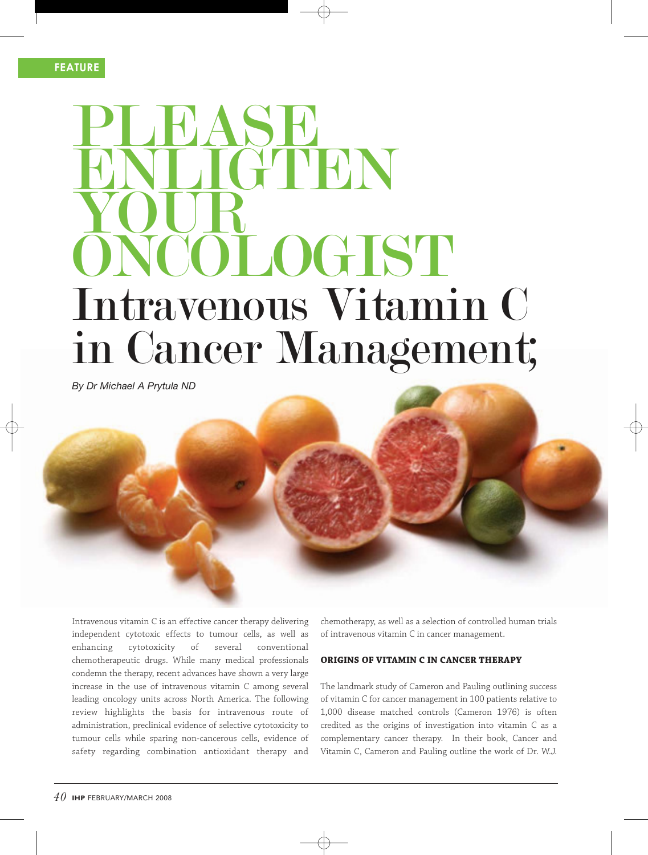### **FEATURE**

## **PLEASE** ENLIGTEN YOUR LOGIST Intravenous Vitamin C in Cancer Management;

*By Dr Michael A Prytula ND*

Intravenous vitamin C is an effective cancer therapy delivering independent cytotoxic effects to tumour cells, as well as enhancing cytotoxicity of several conventional chemotherapeutic drugs. While many medical professionals condemn the therapy, recent advances have shown a very large increase in the use of intravenous vitamin C among several leading oncology units across North America. The following review highlights the basis for intravenous route of administration, preclinical evidence of selective cytotoxicity to tumour cells while sparing non-cancerous cells, evidence of safety regarding combination antioxidant therapy and

chemotherapy, as well as a selection of controlled human trials of intravenous vitamin C in cancer management.

### **ORIGINS OF VITAMIN C IN CANCER THERAPY**

The landmark study of Cameron and Pauling outlining success of vitamin C for cancer management in 100 patients relative to 1,000 disease matched controls (Cameron 1976) is often credited as the origins of investigation into vitamin C as a complementary cancer therapy. In their book, Cancer and Vitamin C, Cameron and Pauling outline the work of Dr. W.J.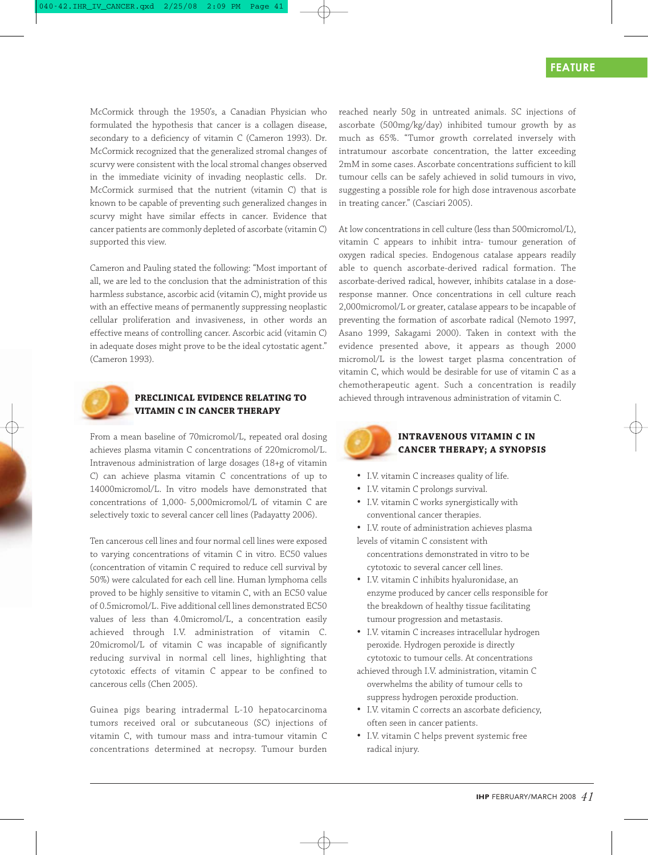McCormick through the 1950's, a Canadian Physician who formulated the hypothesis that cancer is a collagen disease, secondary to a deficiency of vitamin C (Cameron 1993). Dr. McCormick recognized that the generalized stromal changes of scurvy were consistent with the local stromal changes observed in the immediate vicinity of invading neoplastic cells. Dr. McCormick surmised that the nutrient (vitamin C) that is known to be capable of preventing such generalized changes in scurvy might have similar effects in cancer. Evidence that cancer patients are commonly depleted of ascorbate (vitamin C) supported this view.

Cameron and Pauling stated the following: "Most important of all, we are led to the conclusion that the administration of this harmless substance, ascorbic acid (vitamin C), might provide us with an effective means of permanently suppressing neoplastic cellular proliferation and invasiveness, in other words an effective means of controlling cancer. Ascorbic acid (vitamin C) in adequate doses might prove to be the ideal cytostatic agent." (Cameron 1993).



### **PRECLINICAL EVIDENCE RELATING TO VITAMIN C IN CANCER THERAPY**

From a mean baseline of 70micromol/L, repeated oral dosing achieves plasma vitamin C concentrations of 220micromol/L. Intravenous administration of large dosages (18+g of vitamin C) can achieve plasma vitamin C concentrations of up to 14000micromol/L. In vitro models have demonstrated that concentrations of 1,000- 5,000micromol/L of vitamin C are selectively toxic to several cancer cell lines (Padayatty 2006).

Ten cancerous cell lines and four normal cell lines were exposed to varying concentrations of vitamin C in vitro. EC50 values (concentration of vitamin C required to reduce cell survival by 50%) were calculated for each cell line. Human lymphoma cells proved to be highly sensitive to vitamin C, with an EC50 value of 0.5micromol/L. Five additional cell lines demonstrated EC50 values of less than 4.0micromol/L, a concentration easily achieved through I.V. administration of vitamin C. 20micromol/L of vitamin C was incapable of significantly reducing survival in normal cell lines, highlighting that cytotoxic effects of vitamin C appear to be confined to cancerous cells (Chen 2005).

Guinea pigs bearing intradermal L-10 hepatocarcinoma tumors received oral or subcutaneous (SC) injections of vitamin C, with tumour mass and intra-tumour vitamin C concentrations determined at necropsy. Tumour burden reached nearly 50g in untreated animals. SC injections of ascorbate (500mg/kg/day) inhibited tumour growth by as much as 65%. "Tumor growth correlated inversely with intratumour ascorbate concentration, the latter exceeding 2mM in some cases. Ascorbate concentrations sufficient to kill tumour cells can be safely achieved in solid tumours in vivo, suggesting a possible role for high dose intravenous ascorbate in treating cancer." (Casciari 2005).

At low concentrations in cell culture (less than 500micromol/L), vitamin C appears to inhibit intra- tumour generation of oxygen radical species. Endogenous catalase appears readily able to quench ascorbate-derived radical formation. The ascorbate-derived radical, however, inhibits catalase in a doseresponse manner. Once concentrations in cell culture reach 2,000micromol/L or greater, catalase appears to be incapable of preventing the formation of ascorbate radical (Nemoto 1997, Asano 1999, Sakagami 2000). Taken in context with the evidence presented above, it appears as though 2000 micromol/L is the lowest target plasma concentration of vitamin C, which would be desirable for use of vitamin C as a chemotherapeutic agent. Such a concentration is readily achieved through intravenous administration of vitamin C.



### **INTRAVENOUS VITAMIN C IN CANCER THERAPY; A SYNOPSIS**

- I.V. vitamin C increases quality of life.
- I.V. vitamin C prolongs survival.
- I.V. vitamin C works synergistically with conventional cancer therapies.
- I.V. route of administration achieves plasma levels of vitamin C consistent with concentrations demonstrated in vitro to be cytotoxic to several cancer cell lines.
- I.V. vitamin C inhibits hyaluronidase, an enzyme produced by cancer cells responsible for the breakdown of healthy tissue facilitating tumour progression and metastasis.
- I.V. vitamin C increases intracellular hydrogen peroxide. Hydrogen peroxide is directly cytotoxic to tumour cells. At concentrations
- achieved through I.V. administration, vitamin C overwhelms the ability of tumour cells to suppress hydrogen peroxide production.
- I.V. vitamin C corrects an ascorbate deficiency, often seen in cancer patients.
- I.V. vitamin C helps prevent systemic free radical injury.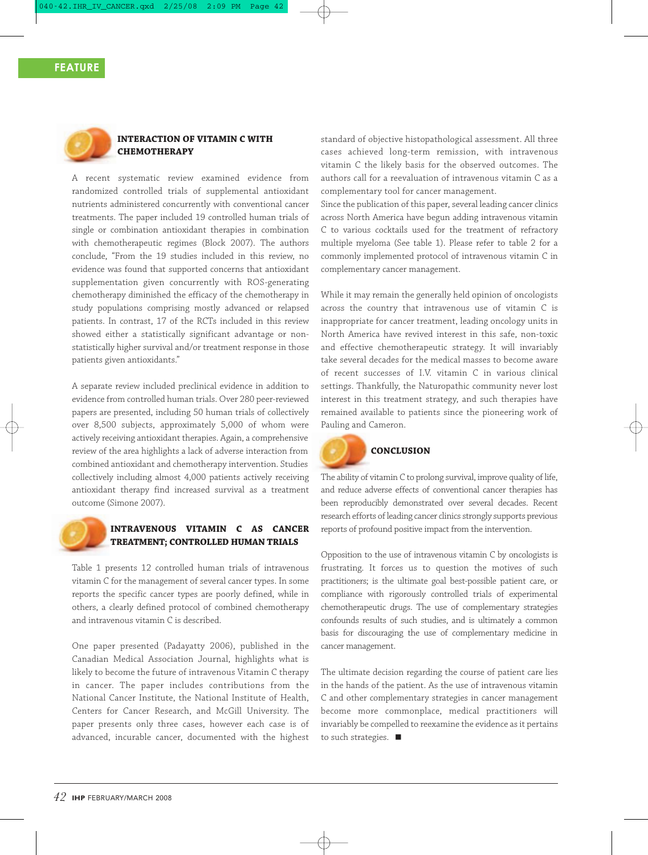### **FEATURE**



### **INTERACTION OF VITAMIN C WITH CHEMOTHERAPY**

A recent systematic review examined evidence from randomized controlled trials of supplemental antioxidant nutrients administered concurrently with conventional cancer treatments. The paper included 19 controlled human trials of single or combination antioxidant therapies in combination with chemotherapeutic regimes (Block 2007). The authors conclude, "From the 19 studies included in this review, no evidence was found that supported concerns that antioxidant supplementation given concurrently with ROS-generating chemotherapy diminished the efficacy of the chemotherapy in study populations comprising mostly advanced or relapsed patients. In contrast, 17 of the RCTs included in this review showed either a statistically significant advantage or nonstatistically higher survival and/or treatment response in those patients given antioxidants."

A separate review included preclinical evidence in addition to evidence from controlled human trials. Over 280 peer-reviewed papers are presented, including 50 human trials of collectively over 8,500 subjects, approximately 5,000 of whom were actively receiving antioxidant therapies. Again, a comprehensive review of the area highlights a lack of adverse interaction from combined antioxidant and chemotherapy intervention. Studies collectively including almost 4,000 patients actively receiving antioxidant therapy find increased survival as a treatment outcome (Simone 2007).



### **INTRAVENOUS VITAMIN C AS CANCER TREATMENT; CONTROLLED HUMAN TRIALS**

Table 1 presents 12 controlled human trials of intravenous vitamin C for the management of several cancer types. In some reports the specific cancer types are poorly defined, while in others, a clearly defined protocol of combined chemotherapy and intravenous vitamin C is described.

One paper presented (Padayatty 2006), published in the Canadian Medical Association Journal, highlights what is likely to become the future of intravenous Vitamin C therapy in cancer. The paper includes contributions from the National Cancer Institute, the National Institute of Health, Centers for Cancer Research, and McGill University. The paper presents only three cases, however each case is of advanced, incurable cancer, documented with the highest

standard of objective histopathological assessment. All three cases achieved long-term remission, with intravenous vitamin C the likely basis for the observed outcomes. The authors call for a reevaluation of intravenous vitamin C as a complementary tool for cancer management.

Since the publication of this paper, several leading cancer clinics across North America have begun adding intravenous vitamin C to various cocktails used for the treatment of refractory multiple myeloma (See table 1). Please refer to table 2 for a commonly implemented protocol of intravenous vitamin C in complementary cancer management.

While it may remain the generally held opinion of oncologists across the country that intravenous use of vitamin C is inappropriate for cancer treatment, leading oncology units in North America have revived interest in this safe, non-toxic and effective chemotherapeutic strategy. It will invariably take several decades for the medical masses to become aware of recent successes of I.V. vitamin C in various clinical settings. Thankfully, the Naturopathic community never lost interest in this treatment strategy, and such therapies have remained available to patients since the pioneering work of Pauling and Cameron.



### **CONCLUSION**

The ability of vitamin C to prolong survival, improve quality of life, and reduce adverse effects of conventional cancer therapies has been reproducibly demonstrated over several decades. Recent research efforts of leading cancer clinics strongly supports previous reports of profound positive impact from the intervention.

Opposition to the use of intravenous vitamin C by oncologists is frustrating. It forces us to question the motives of such practitioners; is the ultimate goal best-possible patient care, or compliance with rigorously controlled trials of experimental chemotherapeutic drugs. The use of complementary strategies confounds results of such studies, and is ultimately a common basis for discouraging the use of complementary medicine in cancer management.

The ultimate decision regarding the course of patient care lies in the hands of the patient. As the use of intravenous vitamin C and other complementary strategies in cancer management become more commonplace, medical practitioners will invariably be compelled to reexamine the evidence as it pertains to such strategies.  $\blacksquare$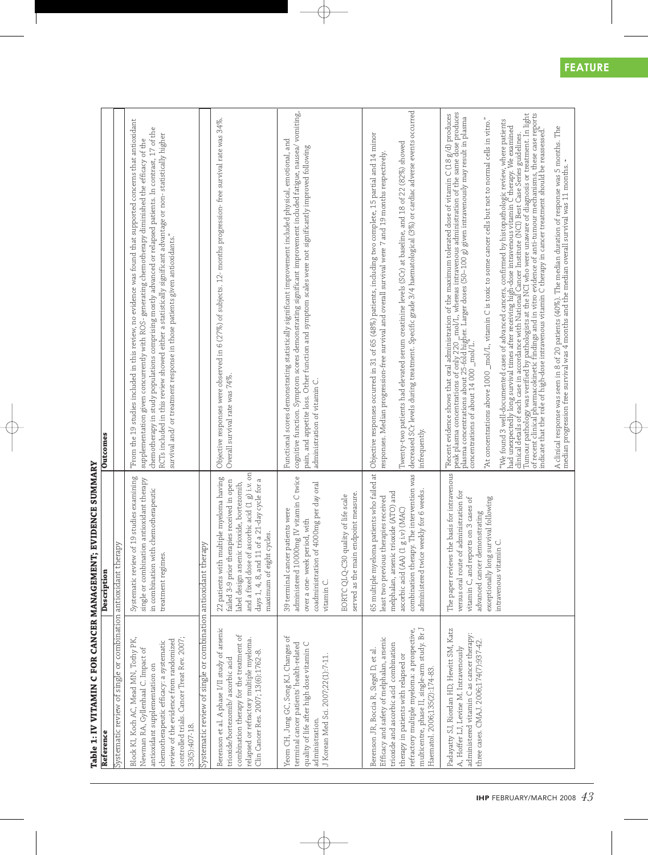| Reference                                                                                                                                                                                                                                                                                               | Description                                                                                                                                                                                                                                                                | Outcomes                                                                                                                                                                                                                                                                                                                                                                                                                                                                                                                                                                                                                                                                                                                                                                                                                                                                                                                                                                                                                                                                                                            |
|---------------------------------------------------------------------------------------------------------------------------------------------------------------------------------------------------------------------------------------------------------------------------------------------------------|----------------------------------------------------------------------------------------------------------------------------------------------------------------------------------------------------------------------------------------------------------------------------|---------------------------------------------------------------------------------------------------------------------------------------------------------------------------------------------------------------------------------------------------------------------------------------------------------------------------------------------------------------------------------------------------------------------------------------------------------------------------------------------------------------------------------------------------------------------------------------------------------------------------------------------------------------------------------------------------------------------------------------------------------------------------------------------------------------------------------------------------------------------------------------------------------------------------------------------------------------------------------------------------------------------------------------------------------------------------------------------------------------------|
| Systematic review of single or combination antioxidant therapy                                                                                                                                                                                                                                          |                                                                                                                                                                                                                                                                            |                                                                                                                                                                                                                                                                                                                                                                                                                                                                                                                                                                                                                                                                                                                                                                                                                                                                                                                                                                                                                                                                                                                     |
| controlled trials. Cancer Treat Rev. 2007;<br>Block KI, Koch AC, Mead MN, Tothy PK,<br>review of the evidence from randomized<br>chemotherapeutic efficacy: a systematic<br>Newman RA, Gyllenhaal C. Impact of<br>antioxidant supplementation on<br>33(5):407-18.                                       | Systematic review of 19 studies examining<br>single or combination antioxidant therapy<br>in combination with chemotherapeutic<br>treatment regimes.                                                                                                                       | "From the 19 studies included in this review, no evidence was found that supported concerns that antioxidant<br>chemotherapy in study populations comprising mostly advanced or relapsed patients. In contrast, 17 of the<br>RCTs included in this review showed either a statistically significant advantage or non-statistically higher<br>supplementation given concurrently with ROS- generating chemotherapy diminished the efficacy of the<br>survival and/ or treatment response in those patients given antioxidants."                                                                                                                                                                                                                                                                                                                                                                                                                                                                                                                                                                                      |
| Systematic review of single or combination antioxidant therapy                                                                                                                                                                                                                                          |                                                                                                                                                                                                                                                                            |                                                                                                                                                                                                                                                                                                                                                                                                                                                                                                                                                                                                                                                                                                                                                                                                                                                                                                                                                                                                                                                                                                                     |
| Berenson et al. A phase I/II study of arsenic<br>combination therapy for the treatment of<br>relapsed or refractory multiple myeloma.<br>Clin Cancer Res. 2007; 13(6):1762-8.<br>trioxide/bortezomib/ascorbic acid                                                                                      | and a fixed dose of ascorbic acid $(1\ g)$ i.v. on<br>multiple myeloma having<br>days 1, 4, 8, and 11 of a 21-day cycle for a<br>failed 3-9 prior therapies received in open<br>label design arsenic trioxide, bortezomib,<br>maximum of eight cycles.<br>22 patients with | Objective responses were observed in 6 (27%) of subjects. 12- months progression- free survival rate was 34%.<br>Overall survival rate was 74%.                                                                                                                                                                                                                                                                                                                                                                                                                                                                                                                                                                                                                                                                                                                                                                                                                                                                                                                                                                     |
| Yeom CH, Jung GC, Song KJ. Changes of<br>quality of life after high dose vitamin C<br>terminal cancer patients' health-related<br>J Korean Med Sci. 2007;22(1):7-11<br>administration.                                                                                                                  | administered 10000mg IV vitamin C twice<br>coadministration of 4000mg per day oral<br>39 terminal cancer patients were<br>period, with<br>over a one-week<br>vitamin C.                                                                                                    | cognitive function. Symptom scores demonstrating significant improvement included fatigue, nausea/ vomiting,<br>Functional scores demonstrating statistically significant improvement included physical, emotional, and<br>pain, and appetite loss. Other function and symptom scales were not significantly improved following<br>administration of vitamin C.                                                                                                                                                                                                                                                                                                                                                                                                                                                                                                                                                                                                                                                                                                                                                     |
|                                                                                                                                                                                                                                                                                                         | served as the main endpoint measure.<br>EORTC QLQ-C30 quality of life scale                                                                                                                                                                                                |                                                                                                                                                                                                                                                                                                                                                                                                                                                                                                                                                                                                                                                                                                                                                                                                                                                                                                                                                                                                                                                                                                                     |
| multicentre, phase II, single-arm study. Br J<br>refractory multiple myeloma: a prospective,<br>Efficacy and safety of melphalan, arsenic<br>trioxide and ascorbic acid combination<br>Berenson JR, Boccia R, Siegel D, et al.<br>therapy in patients with relapsed or<br>Haematol. 2006;135(2):174-83. | combination therapy. The intervention was<br>administered twice weekly for 6 weeks.<br>melphalan, arsenic trioxide (ATO) and<br>least two previous therapies received<br>ascorbic acid (AA) (1 g i.v) (MAC)                                                                | decreased SCr levels during treatment. Specific grade 3/4 haematological (3%) or cardiac adverse events occurred<br>65 multiple myeloma patients who failed at  Objective responses occurred in 31 of 65 (48%) patients, including two complete, 15 partial and 14 minor<br>Twenty-two patients had elevated serum creatinine levels (SCr) at baseline, and 18 of 22 (82%) showed<br>responses. Median progression-free survival and overall survival were 7 and 19 months respectively.<br>infrequently.                                                                                                                                                                                                                                                                                                                                                                                                                                                                                                                                                                                                           |
| Padayatty SJ, Riordan HD, Hewitt SM, Katz<br>administered vitamin C as cancer therapy:<br>three cases. CMAJ. 2006;174(7):937-42.<br>A, Hoffer LJ, Levine M. Intravenously                                                                                                                               | The paper reviews the basis for intravenous<br>versus oral route of administration for<br>exceptionally long survival following<br>vitamin C, and reports on 3 cases of<br>advanced cancer demonstrating<br>intravenous vitamin C.                                         | "Recent evidence shows that oral administration of the maximum tolerated dose of vitamin C (18 g/d) produces<br>peak plasma concentrations of only 220 _mol/L, whereas intravenous administration of the same dose produces<br>plas<br>of recent clinical pharmacokinetic findings and in vitro evidence of anti-tumour mechanisms, these case reports<br>Tumour pathology was verified by pathologists at the NCI who were unaware of diagnosis or treatment. In light<br>"At concentrations above $1000 \mod \text{L}$ , vitamin C is toxic to some cancer cells but not to normal cells in vitro."<br>"We found 3 well-documented cases of advanced cancers, confirmed by histopathologic review, where patients<br>had unexpectedly long survival times after receiving high-dose intravenous vitamin Č therapy. We examined<br>clinical details of each case in accordance with National Cancer Institute (NCI) Best Case Series guidelines.<br>indicate that the role of high-dose intravenous vitamin C therapy in cancer treatment should be reassessed.<br>concentrations of about $14\ 000\ \text{mol/L}$ |
|                                                                                                                                                                                                                                                                                                         |                                                                                                                                                                                                                                                                            | A clinical response was seen in 8 of 20 patients (40%). The median duration of response was 5 months. The median progression free survival was 4 months and the median overall survival was 11 months. -                                                                                                                                                                                                                                                                                                                                                                                                                                                                                                                                                                                                                                                                                                                                                                                                                                                                                                            |

# **Table 1: IV VITAMIN C FOR CANCER MANAGEMENT; EVIDENCE SUMMARY**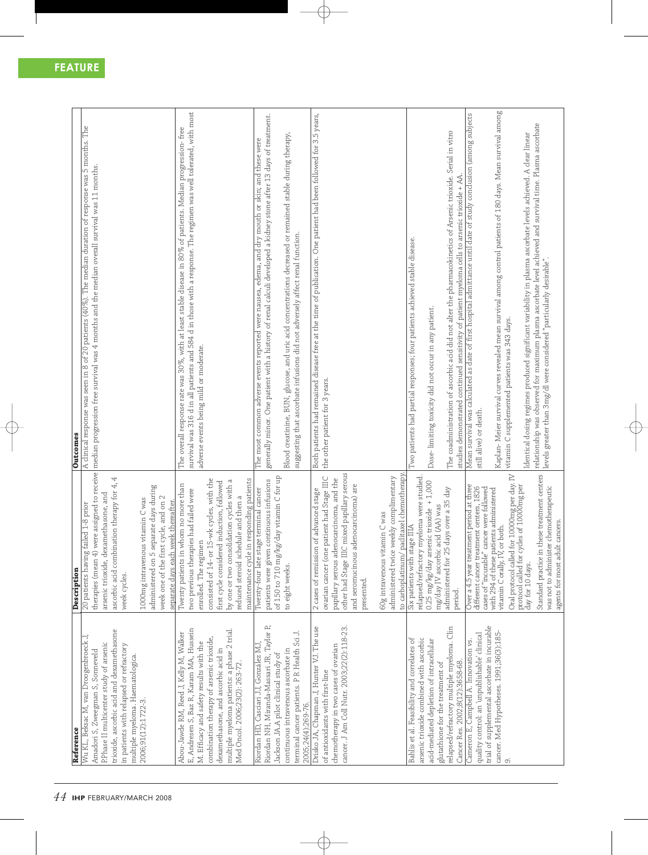| Reference                                                                   | Description                                                                           | <b>Outcomes</b>                                                                                                   |
|-----------------------------------------------------------------------------|---------------------------------------------------------------------------------------|-------------------------------------------------------------------------------------------------------------------|
| Wu KL, Beksac M, van Droogenbroeck J,                                       | failed 1-8 prior<br>20 patients having                                                | A clinical response was seen in 8 of 20 patients (40%). The median duration of response was 5 months. The         |
| P.Phase II multicenter study of arsenic<br>Amadori S, Zweegman S, Sonneveld | were assigned to receive<br>therapies (mean 4)<br>arsenic trioxide, de                | median progression free survival was 4 months and the median overall survival was 11 months.                      |
| trioxide, ascorbic acid and dexamethasone                                   | 4<br>ascorbic acid combination therapy for 4,<br>xamethasone, and                     |                                                                                                                   |
| in patients with relapsed or refractory                                     | week cycles.                                                                          |                                                                                                                   |
| multiple myeloma. Haematologica<br>2006;91(12):1722-3.                      |                                                                                       |                                                                                                                   |
|                                                                             | separate days during<br>1000mg intravenous vitamin C was<br>administered on 5         |                                                                                                                   |
|                                                                             | week one of the first cycle, and on 2                                                 |                                                                                                                   |
|                                                                             | week thereafter.<br>separate days each                                                |                                                                                                                   |
| Abou-Jawde RM, Reed J, Kelly M, Walker                                      | whom no more than<br>Twenty patients in                                               | The overall response rate was 30%, with at least stable disease in 80% of patients. Median progression- free      |
| E, Andresen S, Baz R, Karam MA, Hussein                                     | two previous therapies had failed were                                                | survival was 316 d in all patients and 584 d in those with a response. The regimen was well tolerated, with most  |
| M. Efficacy and safety results with the                                     | enrolled. The regimen                                                                 | adverse events being mild or moderate.                                                                            |
| combination therapy of arsenic trioxide,                                    | 15-wk cycles, with the<br>consisted of 14- or                                         |                                                                                                                   |
| dexamethasone, and ascorbic acid in                                         | first cycle considered induction, followed                                            |                                                                                                                   |
| multiple myeloma patients: a phase 2 trial.                                 | by one or two consolidation cycles with a                                             |                                                                                                                   |
| Med Oncol. 2006;23(2): 263-72.                                              | reduced steroid schedule and then a                                                   |                                                                                                                   |
|                                                                             | maintenance cycle in responding patients                                              |                                                                                                                   |
| Riordan HD, Casciari JJ, González MJ                                        | Twenty-four late stage terminal cancer                                                | The most common adverse events reported were nausea, edema, and dry mouth or skin; and these were                 |
| Riordan NH, Miranda-Massari JR, Taylor P,                                   | patients were given continuous infusions                                              | generally minor. One patient with a history of renal calculi developed a kidney stone after 13 days of treatment. |
| Jackson JA.A pilot clinical study of                                        | kg/day vitamin C for up<br>of $150$ to $710$ mg/                                      |                                                                                                                   |
| continuous intravenous ascorbate in                                         | to eight weeks.                                                                       | glucose, and uric acid concentrations decreased or remained stable during therapy<br>Blood creatinine, BUN,       |
| ⊣,<br>terminal cancer patients. P R Health Sci                              |                                                                                       | suggesting that ascorbate infusions did not adversely affect renal function.                                      |
| 2005;24(4):269-76.                                                          |                                                                                       |                                                                                                                   |
| Drisko JA, Chapman J, Hunter VJ. The use                                    | 2 cases of remission of advanced stage                                                | Both patients had remained disease free at the time of publication. One patient had been followed for 3.5 years,  |
| of antioxidants with first-line                                             | ovarian cancer (one patient had Stage IIIC                                            | the other patient for 3 years.                                                                                    |
| chemotherapy in two cases of ovarian                                        | papillary serous adenocarcinoma, and the                                              |                                                                                                                   |
| cancer. J Am Coll Nutr. 2003;22(2):118-23.                                  | other had Stage IIIC mixed papillary serous                                           |                                                                                                                   |
|                                                                             | adenocarcinoma) are<br>and seromucinous                                               |                                                                                                                   |
|                                                                             | presented.                                                                            |                                                                                                                   |
|                                                                             |                                                                                       |                                                                                                                   |
|                                                                             | 60g intravenous vitamin C was                                                         |                                                                                                                   |
|                                                                             | paclitaxel chemotherapy<br>administered twice weekly complimentary                    |                                                                                                                   |
|                                                                             | to carboplatinum/                                                                     |                                                                                                                   |
| Bahlis et al. Feasibility and correlates of                                 | relapsed/refractory myeloma were studied.<br>Six patients with stage IIIA             | I'wo patients had partial responses; four patients achieved stable disease.                                       |
| arsenic trioxide combined with ascorbic                                     | 0.25 mg/kg/day arsenic trioxide $+1,000$                                              |                                                                                                                   |
| acid-mediated depletion of intracellular                                    | mg/day IV ascorbic acid (AA) was                                                      | Dose-limiting toxicity did not occur in any patient.                                                              |
| glutathione for the treatment of                                            | administered for 25 days over a 35 day                                                |                                                                                                                   |
| relapsed/refractory multiple myeloma. Clin                                  | period.                                                                               | The coadministration of ascorbic acid did not alter the pharmacokinetics of Arsenic trioxide. Serial in vitro     |
| Cancer Res. 2002;8(12):3658-68.                                             |                                                                                       | studies demonstrated continued sensitivity of patient myeloma cells to arsenic trioxide + AA                      |
| Cameron E, Campbell A. Innovation vs.                                       | Over a 4.5 year treatment period at three                                             | Mean survival was calculated as date of first hospital admittance until date of study conclusion (among subjects  |
| quality control: an 'unpublishable' clinical                                | different cancer treatment centers, 1826<br>cases of "incurable" cancer were followed | still alive) or death                                                                                             |
| trial of supplemental ascorbate in incurable                                | with 294 of these patients administered                                               |                                                                                                                   |
| cancer. Med Hypotheses. 1991;36(3):185-                                     | or both.<br>vitamin Corally, IV                                                       | Kaplan- Meier survival curves revealed mean survival among control patients of 180 days. Mean survival among      |
| ာ                                                                           | for 10000mg per day. IV<br>Oral protocol called                                       | vitamin C supplemented patients was 343 days                                                                      |
|                                                                             | ycles of 10000mg per<br>protocol called for c<br>day for 10 days.                     |                                                                                                                   |
|                                                                             |                                                                                       | Identical dosing regimes produced significant variability in plasma ascorbate levels achieved. A clear linear     |
|                                                                             | Standard practice in these treatment centers                                          | relationship was observed for maximum plasma ascorbate level achieved and survival time. Plasma ascorbate         |
|                                                                             | was not to administer chemotherapeutic                                                | levels greater than 3mg/dl were considered "particularly desirable".                                              |
|                                                                             | agents for most adult cancers.                                                        |                                                                                                                   |

agents for most adult cancers.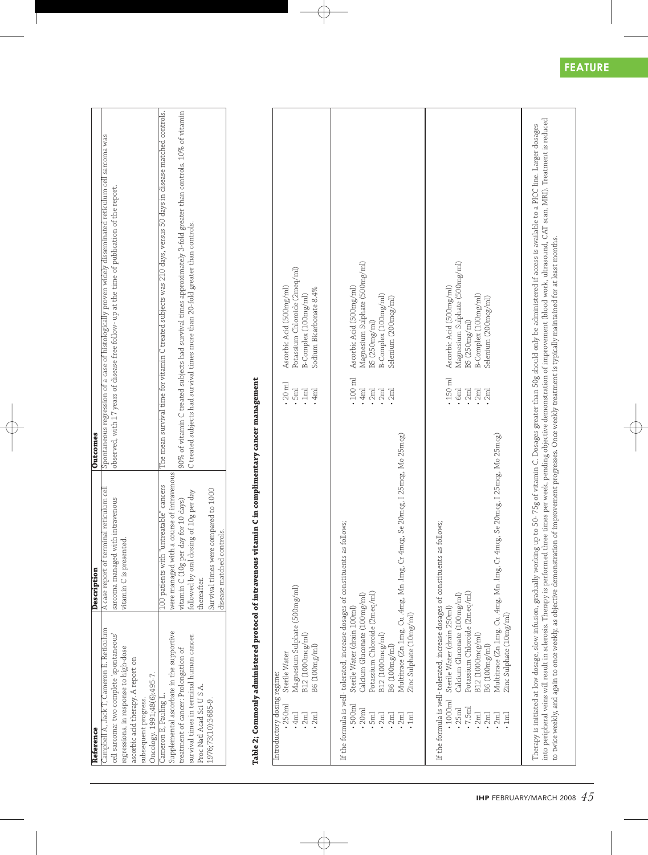| Reference                                | Description                               | <b>Outcomes</b>                                                                                                 |
|------------------------------------------|-------------------------------------------|-----------------------------------------------------------------------------------------------------------------|
| Campbell A, Jack T, Cameron E. Reticulum | A case report of terminal reticulum cell  | Spontaneous regression of a case of histologically proven widely disseminated reticulum cell sarcoma was        |
| cell sarcoma: two complete 'spontaneous' | sarcoma managed with intravenous          | observed, with 17 years of disease free follow- up at the time of publication of the report.                    |
| regressions, in response to high-dose    | vitamin C is presented.                   |                                                                                                                 |
| ascorbic acid therapy. A report on       |                                           |                                                                                                                 |
| subsequent progress.                     |                                           |                                                                                                                 |
| Oncology. 1991;48(6):495-7.              |                                           |                                                                                                                 |
| Cameron E, Pauling L.                    | .00 patients with "untreatable" cancers   | The mean survival time for vitamin C treated subjects was 210 days, versus 50 days in disease matched controls. |
| Supplemental ascorbate in the supportive | were managed with a course of intravenous |                                                                                                                 |
| treatment of cancer: Prolongation of     | vitamin C (10g per day for 10 days)       | 90% of vitamin C treated subjects had survival times approximately 3-fold greater than controls. 10% of vitamin |
| survival times in terminal human cancer. | followed by oral dosing of 10g per day    | C treated subjects had survival times more than 20-fold greater than controls.                                  |
| Proc Natl Acad Sci U S A.                | hereafter.                                |                                                                                                                 |
| 1976;73(10):3685-9.                      | Survival times were compared to 1000      |                                                                                                                 |
|                                          | disease matched controls.                 |                                                                                                                 |
|                                          |                                           |                                                                                                                 |

 $\overline{\phantom{a}}$ 

## Table 2; Commonly administered protocol of intravenous vitamin C in complimentary cancer management Table 2; Commonly administered protocol of intravenous vitamin C in complimentary cancer management

 $\bigoplus$ 

| $\cdot$ 2 $ml$<br>.2 <sub>md</sub>                                                                                         | Magnesium Sulphate (500mg/ml)<br>B12 (1000mcg/ml)<br>B6 (100mg/ml)<br>Sterile Water                                                                                                                                                                                                                                            | $20$ ml<br>$\cdot$ 5ml<br>$\cdot$ 1ml<br>.4 <sub>ml</sub>                             | Potassium Chloroide (2meq/ml)<br>Ascorbic Acid (500mg/ml)<br>Sodium Bicarbonate 8.4%<br>B-Complex (100mg/ml)               |
|----------------------------------------------------------------------------------------------------------------------------|--------------------------------------------------------------------------------------------------------------------------------------------------------------------------------------------------------------------------------------------------------------------------------------------------------------------------------|---------------------------------------------------------------------------------------|----------------------------------------------------------------------------------------------------------------------------|
| 500 <sub>ml</sub><br>20 <sub>ml</sub><br><b>Gml</b><br>$\cdot$ 2 $ml$<br>$\cdot$ 2 $ml$<br>$\Xi$<br>$\cdot$ 2 $\mathrm{m}$ | Multitrace (Zn 1mg, Cu .4mg, Mn .lmg, Cr 4mcg, Se 20mcg, I 25mcg, Mo 25mcg)<br>If the formula is well- tolerated, increase dosages of constituents as follows;<br>Potassium Chloroide (2meq/ml)<br>Calcium Gluconate (100mg/ml)<br>Sterile Water (drain 100ml)<br>Zinc Sulphate (10mg/ml)<br>B12 (1000mcg/ml)<br>B6 (100mg/ml) | $100 \mathrm{~m}$<br>.4 <sub>ml</sub><br>$\cdot$ 2ml<br>$\cdot$ 2ml<br>$\cdot$ 2 $ml$ | Magnesium Sulphate (500mg/ml)<br>Ascorbic Acid (500mg/ml)<br>B-Complex (100mg/ml)<br>Selenium (200mcg/ml)<br>B5 (250mg/ml) |
| 1000ml<br>.7.5 <sub>ml</sub><br>25 <sub>ml</sub><br>$\cdot$ 2ml<br>$\cdot$ 2m<br>$\cdot$ 2 $ml$<br>$\frac{1}{2}$           | Multitrace (Zn 1mg, Cu .4mg, Mn .lmg, Cr 4mcg, Se 20mcg, I 25mcg, Mo 25mcg)<br>If the formula is well-tolerated, increase dosages of constituents as follows;<br>Potassium Chloroide (2meq/ml)<br>Calcium Gluconate (100mg/ml)<br>Sterile Water (drain 250ml)<br>Zinc Sulphate (10mg/ml)<br>B12 (1000mcg/ml)<br>B6 (100mg/ml)  | $\cdot$ 150 ml<br>.6 <sub>ml</sub><br>$\cdot$ 2ml<br>$\cdot$ 2ml<br>2 <sub>ml</sub>   | Magnesium Sulphate (500mg/ml)<br>Ascorbic Acid (500mg/ml)<br>B-Complex (100mg/ml)<br>Selenium (200mcg/ml)<br>B5 (250mg/ml) |